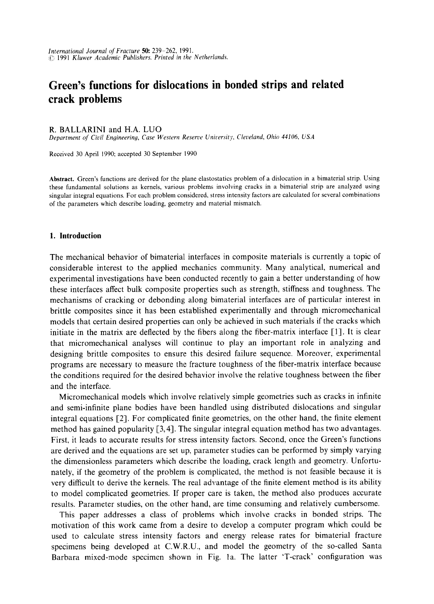# **Green's functions for dislocations in bonded strips and related crack problems**

#### **R.** BALLARINI and H.A. LUO

*Department of Civil Engineeriny, Case Western Reserve University, Cleveland, Ohio 44106, USA* 

Received 30 April 1990; accepted 30 September 1990

**Abstract.** Green's functions are derived for the plane elastostatics problem of a dislocation in a bimaterial strip. Using these fundamental solutions as kernels, various problems involving cracks in a bimaterial strip are analyzed using singular integral equations. For each problem considered, stress intensity factors are calculated for several combinations of the parameters which describe loading, geometry and material mismatch.

#### **1. Introduction**

The mechanical behavior of bimaterial interfaces in composite materials is currently a topic of considerable interest to the applied mechanics community. Many analytical, numerical and experimental investigations have been conducted recently to gain a better understanding of how these interfaces affect bulk composite properties such as strength, stiffness and toughness. The mechanisms of cracking or debonding along bimaterial interfaces are of particular interest in brittle composites since it has been established experimentally and through micromechanical models that certain desired properties can only be achieved in such materials if the cracks which initiate in the matrix are deflected by the fibers along the fiber-matrix interface [1]. It is clear that micromechanical analyses will continue to play an important role in analyzing and designing brittle composites to ensure this desired failure sequence. Moreover, experimental programs are necessary to measure the fracture toughness of the fiber-matrix interface because the conditions required for the desired behavior involve the relative toughness between the fiber and the interface.

Micromechanical models which involve relatively simple geometries such as cracks in infinite and semi-infinite plane bodies have been handled using distributed dislocations and singular integral equations [2]. For complicated finite geometries, on the other hand, the finite element method has gained popularity [3, 4]. The singular integral equation method has two advantages. First, it leads to accurate results for stress intensity factors. Second, once the Green's functions are derived and the equations are set up, parameter studies can be performed by simply varying the dimensionless parameters which describe the loading, crack length and geometry. Unfortunately, if the geometry of the problem is complicated, the method is not feasible because it is very difficult to derive the kernels. The real advantage of the finite element method is its ability to model complicated geometries. If proper care is taken, the method also produces accurate results. Parameter studies, on the other hand, are time consuming and relatively cumbersome.

This paper addresses a class of problems which involve cracks in bonded strips. The motivation of this work came from a desire to develop a computer program which could be used to calculate stress intensity factors and energy release rates for bimaterial fracture specimens being developed at C.W.R.U., and model the geometry of the so-called Santa Barbara mixed-mode specimen shown in Fig. 1a. The latter 'T-crack' configuration was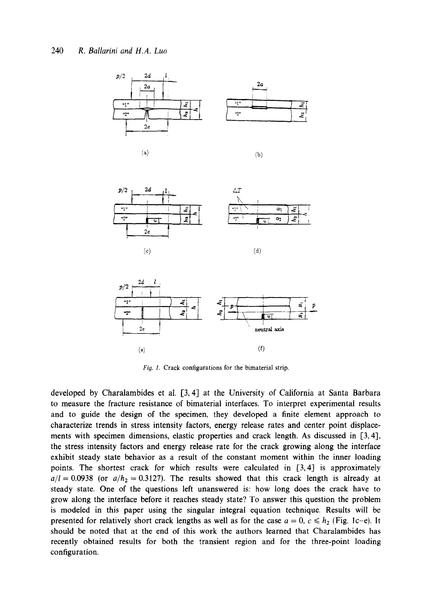





*Fig. I.* Crack configurations for the bimaterial strip.

developed by Charalambides et al. [3, 4] at the University of California at Santa Barbara to measure the fracture resistance of bimaterial interfaces. To interpret experimental results and to guide the design of the specimen, they developed a finite element approach to characterize trends in stress intensity factors, energy release rates and center point displacements with specimen dimensions, elastic properties and crack length. As discussed in [3, 4], the stress intensity factors and energy release rate for the crack growing along the interface exhibit steady state behavior as a result of the constant moment within the inner loading points. The shortest crack for which results were calculated in [3,4] is approximately  $a/l = 0.0938$  (or  $a/h<sub>2</sub> = 0.3127$ ). The results showed that this crack length is already at steady state. One of the questions left unanswered is: how long does the crack have to grow along the interface before it reaches steady state? To answer this question the problem is modeled in this paper using the singular integral equation technique. Results will be presented for relatively short crack lengths as well as for the case  $a = 0$ ,  $c \le h_2$  (Fig. 1c-e). It should be noted that at the end of this work the authors learned that Charalambides has recently obtained results for both the transient region and for the three-point loading configuration.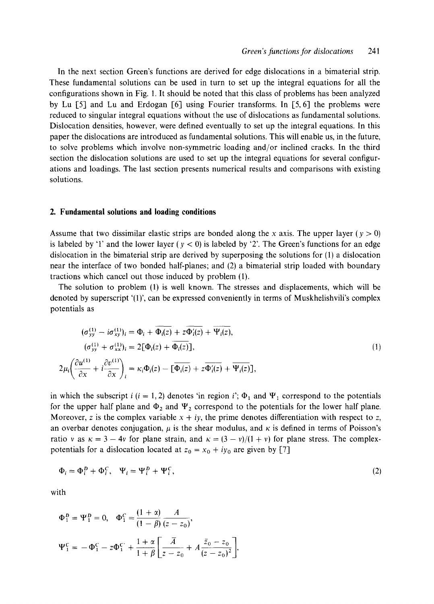In the next section Green's functions are derived for edge dislocations in a bimaterial strip. These fundamental solutions can be used in turn to set up the integral equations for all the configurations shown in Fig. 1. It should be noted that this class of problems has been analyzed by Lu  $[5]$  and Lu and Erdogan  $[6]$  using Fourier transforms. In  $[5, 6]$  the problems were reduced to singular integral equations without the use of dislocations as fundamental solutions. Dislocation densities, however, were defined eventually to set up the integral equations. In this paper the dislocations are introduced as fundamental solutions. This will enable us, in the future, to solve problems which involve non-symmetric loading and/or inclined cracks. In the third section the dislocation solutions are used to set up the integral equations for several configurations and loadings. The last section presents numerical results and comparisons with existing solutions.

#### **2. Fundamental solutions and loading conditions**

Assume that two dissimilar elastic strips are bonded along the x axis. The upper layer ( $y > 0$ ) is labeled by '1' and the lower layer ( $y < 0$ ) is labeled by '2'. The Green's functions for an edge dislocation in the bimaterial strip are derived by superposing the solutions for (1) a dislocation near the interface of two bonded half-planes; and (2) a bimaterial strip loaded with boundary tractions which cancel out those induced by problem (1).

The solution to problem (1) is well known. The stresses and displacements, which will be denoted by superscript '(1)', can be expressed conveniently in terms of Muskhelishvili's complex potentials as

$$
(\sigma_{yy}^{(1)} - i\sigma_{xy}^{(1)})_i = \Phi_i + \overline{\Phi_i(z)} + z\overline{\Phi_i(z)} + \overline{\Psi_i(z)},
$$
  
\n
$$
(\sigma_{yy}^{(1)} + \sigma_{xx}^{(1)})_i = 2[\Phi_i(z) + \overline{\Phi_i(z)}],
$$
  
\n
$$
2\mu_i \left(\frac{\partial u^{(1)}}{\partial x} + i\frac{\partial v^{(1)}}{\partial x}\right)_i = \kappa_i \Phi_i(z) - [\overline{\Phi_i(z)} + z\overline{\Phi_i'(z)} + \overline{\Psi_i(z)}],
$$
\n(1)

in which the subscript i  $(i = 1, 2)$  denotes 'in region i';  $\Phi_1$  and  $\Psi_1$  correspond to the potentials for the upper half plane and  $\Phi_2$  and  $\Psi_2$  correspond to the potentials for the lower half plane. Moreover, z is the complex variable  $x + iy$ , the prime denotes differentiation with respect to z, an overbar denotes conjugation,  $\mu$  is the shear modulus, and  $\kappa$  is defined in terms of Poisson's ratio v as  $\kappa = 3 - 4v$  for plane strain, and  $\kappa = (3 - v)/(1 + v)$  for plane stress. The complexpotentials for a dislocation located at  $z_0 = x_0 + iy_0$  are given by [7]

$$
\Phi_i = \Phi_i^D + \Phi_i^C, \quad \Psi_i = \Psi_i^D + \Psi_i^C,
$$
\n<sup>(2)</sup>

$$
\Phi_1^D = \Psi_1^D = 0, \quad \Phi_1^C = \frac{(1+\alpha)}{(1-\beta)} \frac{A}{(z-z_0)},
$$
  

$$
\Psi_1^C = -\Phi_1^C - z\Phi_1^C + \frac{1+\alpha}{1+\beta} \left[ \frac{\overline{A}}{z-z_0} + A \frac{\overline{z_0} - z_0}{(z-z_0)^2} \right],
$$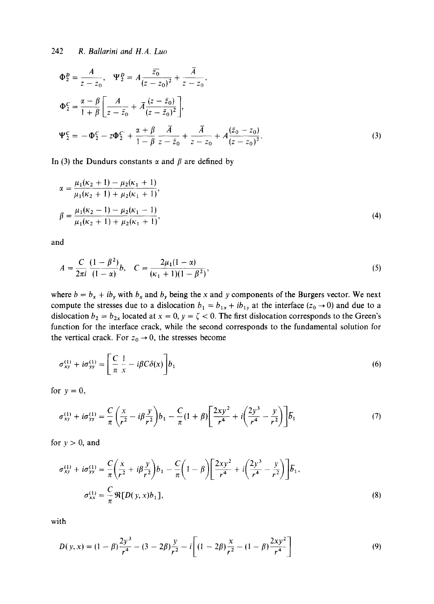$$
\Phi_2^D = \frac{A}{z - z_0}, \quad \Psi_2^D = A \frac{\overline{z_0}}{(z - z_0)^2} + \frac{\overline{A}}{z - z_0},
$$
  
\n
$$
\Phi_2^C = \frac{\alpha - \beta}{1 + \beta} \left[ \frac{A}{z - \overline{z_0}} + \overline{A} \frac{(z - \overline{z_0})}{(z - \overline{z_0})^2} \right],
$$
  
\n
$$
\Psi_2^C = -\Phi_2^C - z \Phi_2^{C'} + \frac{\alpha + \beta}{1 - \beta} \frac{\overline{A}}{z - \overline{z_0}} + \frac{\overline{A}}{z - z_0} + A \frac{(\overline{z_0} - z_0)}{(z - z_0)^2}.
$$
\n(3)

In (3) the Dundurs constants  $\alpha$  and  $\beta$  are defined by

$$
\alpha = \frac{\mu_1(\kappa_2 + 1) - \mu_2(\kappa_1 + 1)}{\mu_1(\kappa_2 + 1) + \mu_2(\kappa_1 + 1)},
$$
  
\n
$$
\beta = \frac{\mu_1(\kappa_2 - 1) - \mu_2(\kappa_1 - 1)}{\mu_1(\kappa_2 + 1) + \mu_2(\kappa_1 + 1)},
$$
\n(4)

and

$$
A = \frac{C}{2\pi i} \frac{(1 - \beta^2)}{(1 - \alpha)} b, \quad C = \frac{2\mu_1 (1 - \alpha)}{(\kappa_1 + 1)(1 - \beta^2)},
$$
(5)

where  $b = b_x + ib_y$  with  $b_x$  and  $b_y$  being the x and y components of the Burgers vector. We next compute the stresses due to a dislocation  $b_1 = b_{1x} + ib_{1y}$  at the interface ( $z_0 \rightarrow 0$ ) and due to a dislocation  $b_2 = b_{2x}$  located at  $x = 0$ ,  $y = \zeta < 0$ . The first dislocation corresponds to the Green's function for the interface crack, while the second corresponds to the fundamental solution for the vertical crack. For  $z_0 \rightarrow 0$ , the stresses become

$$
\sigma_{xy}^{(1)} + i\sigma_{yy}^{(1)} = \left[\frac{C}{\pi} \frac{1}{x} - i\beta C\delta(x)\right] b_1
$$
\n(6)

for  $y = 0$ ,

$$
\sigma_{xy}^{(1)} + i\sigma_{yy}^{(1)} = \frac{C}{\pi} \left( \frac{x}{r^2} - i\beta \frac{y}{r^2} \right) b_1 - \frac{C}{\pi} (1+\beta) \left[ \frac{2xy^2}{r^4} + i\left( \frac{2y^3}{r^4} - \frac{y}{r^2} \right) \right] b_1 \tag{7}
$$

for  $y > 0$ , and

$$
\sigma_{xy}^{(1)} + i\sigma_{yy}^{(1)} = \frac{C}{\pi} \left( \frac{x}{r^2} + i\beta \frac{y}{r^2} \right) b_1 - \frac{C}{\pi} \left( 1 - \beta \right) \left[ \frac{2xy^2}{r^4} + i \left( \frac{2y^3}{r^4} - \frac{y}{r^2} \right) \right] b_1,
$$
  
\n
$$
\sigma_{xx}^{(1)} = \frac{C}{\pi} \Re[D(y, x) b_1],
$$
\n(8)

$$
D(y, x) = (1 - \beta) \frac{2y^3}{r^4} - (3 - 2\beta) \frac{y}{r^2} - i \left[ (1 - 2\beta) \frac{x}{r^2} - (1 - \beta) \frac{2xy^2}{r^4} \right]
$$
(9)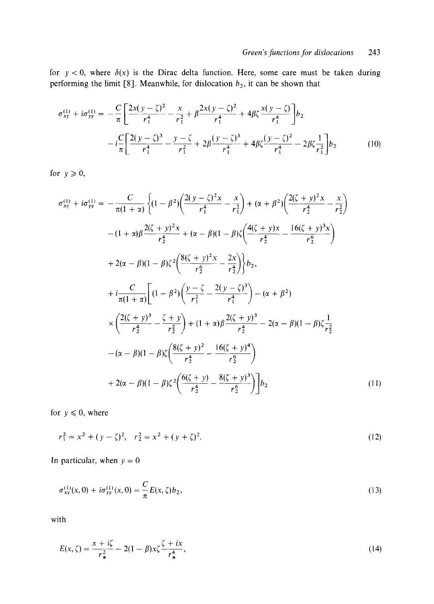for  $y < 0$ , where  $\delta(x)$  is the Dirac delta function. Here, some care must be taken during performing the limit [8]. Meanwhile, for dislocation  $b_2$ , it can be shown that

$$
\sigma_{xy}^{(1)} + i\sigma_{yy}^{(1)} = -\frac{C}{\pi} \left[ \frac{2x(y-\zeta)^2}{r_1^4} - \frac{x}{r_1^2} + \beta \frac{2x(y-\zeta)^2}{r_1^4} + 4\beta \zeta \frac{x(y-\zeta)}{r_1^4} \right] b_2
$$

$$
-i\frac{C}{\pi} \left[ \frac{2(y-\zeta)^3}{r_1^4} - \frac{y-\zeta}{r_1^2} + 2\beta \frac{(y-\zeta)^3}{r_1^4} + 4\beta \zeta \frac{(y-\zeta)^2}{r_1^4} - 2\beta \zeta \frac{1}{r_1^2} \right] b_2 \tag{10}
$$

for  $y\geqslant 0$ ,

$$
\sigma_{xy}^{(1)} + i\sigma_{yy}^{(1)} = -\frac{C}{\pi(1+\alpha)} \left\{ (1-\beta^2) \left( \frac{2(y-\zeta)^2 x}{r_1^4} - \frac{x}{r_1^2} \right) + (\alpha + \beta^2) \left( \frac{2(\zeta + y)^2 x}{r_2^4} - \frac{x}{r_2^2} \right) \right\}
$$

$$
- (1+\alpha)\beta \frac{2(\zeta + y)^2 x}{r_2^4} + (\alpha - \beta)(1-\beta)\zeta \left( \frac{4(\zeta + y)x}{r_2^4} - \frac{16(\zeta + y)^3 x}{r_2^6} \right)
$$

$$
+ 2(\alpha - \beta)(1-\beta)\zeta^2 \left( \frac{8(\zeta + y)^2 x}{r_2^6} - \frac{2x}{r_2^4} \right) \right\} b_2,
$$

$$
+ i\frac{C}{\pi(1+\alpha)} \left[ (1-\beta^2) \left( \frac{y-\zeta}{r_1^2} - \frac{2(y-\zeta)^3}{r_1^4} \right) - (\alpha + \beta^2) \right]
$$

$$
\times \left( \frac{2(\zeta + y)^3}{r_2^4} - \frac{\zeta + y}{r_2^2} \right) + (1+\alpha)\beta \frac{2(\zeta + y)^3}{r_2^4} - 2(\alpha - \beta)(1-\beta)\zeta \frac{1}{r_2^2}
$$

$$
-(\alpha - \beta)(1-\beta)\zeta \left( \frac{8(\zeta + y)^2}{r_2^4} - \frac{16(\zeta + y)^4}{r_2^6} \right)
$$

$$
+ 2(\alpha - \beta)(1-\beta)\zeta^2 \left( \frac{6(\zeta + y)}{r_2^4} - \frac{8(\zeta + y)^3}{r_2^6} \right) \right] b_2 \qquad (11)
$$

for  $y \le 0$ , where

$$
r_1^2 = x^2 + (y - \zeta)^2, \quad r_2^2 = x^2 + (y + \zeta)^2. \tag{12}
$$

In particular, when  $y = 0$ 

$$
\sigma_{xy}^{(1)}(x,0) + i\sigma_{yy}^{(1)}(x,0) = \frac{C}{\pi}E(x,\zeta)b_2,
$$
\n(13)

$$
E(x,\zeta) = \frac{x + i\zeta}{r_*^2} - 2(1 - \beta)x\zeta \frac{\zeta + ix}{r_*^4},
$$
\n(14)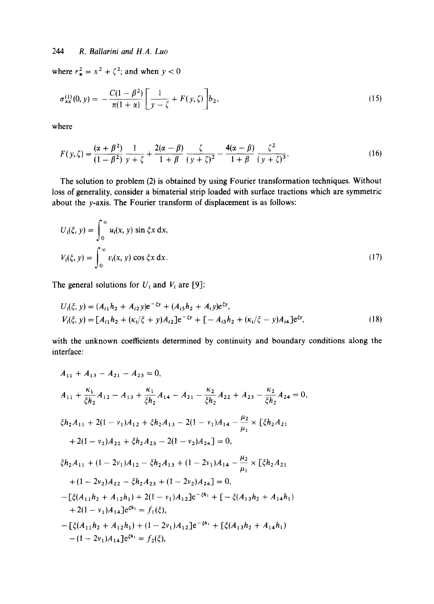where  $r_x^2 = x^2 + \zeta^2$ ; and when  $y < 0$ 

$$
\sigma_{xx}^{(1)}(0, y) = -\frac{C(1 - \beta^2)}{\pi(1 + \alpha)} \left[ \frac{1}{y - \zeta} + F(y, \zeta) \right] b_2, \tag{15}
$$

where

$$
F(y,\zeta) = \frac{(\alpha + \beta^2)}{(1 - \beta^2)} \frac{1}{y + \zeta} + \frac{2(\alpha - \beta)}{1 + \beta} \frac{\zeta}{(y + \zeta)^2} - \frac{4(\alpha - \beta)}{1 + \beta} \frac{\zeta^2}{(y + \zeta)^3}.
$$
 (16)

The solution to problem (2) is obtained by using Fourier transformation techniques. Without loss of generality, consider a bimaterial strip loaded with surface tractions which are symmetric about the y-axis. The Fourier transform of displacement is as follows:

$$
U_i(\xi, y) = \int_0^\infty u_i(x, y) \sin \xi x \, dx,
$$
  

$$
V_i(\xi, y) = \int_0^\infty v_i(x, y) \cos \xi x \, dx.
$$
 (17)

The general solutions for  $U_i$  and  $V_i$  are [9]:

$$
U_i(\xi, y) = (A_{i1}h_2 + A_{i2}y)e^{-\xi y} + (A_{i3}h_2 + A_{i}y)e^{\xi y},
$$
  
\n
$$
V_i(\xi, y) = [A_{i1}h_2 + (\kappa_i/\xi + y)A_{i2}]e^{-\xi y} + [-A_{i3}h_2 + (\kappa_i/\xi - y)A_{i4}]e^{\xi y},
$$
\n(18)

with the unknown coefficients determined by continuity and boundary conditions along the interface:

$$
A_{11} + A_{13} - A_{21} - A_{23} = 0,
$$
  
\n
$$
A_{11} + \frac{\kappa_1}{\xi h_2} A_{12} - A_{13} + \frac{\kappa_1}{\xi h_2} A_{14} - A_{21} - \frac{\kappa_2}{\xi h_2} A_{22} + A_{23} - \frac{\kappa_2}{\xi h_2} A_{24} = 0,
$$
  
\n
$$
\xi h_2 A_{11} + 2(1 - v_1)A_{12} + \xi h_2 A_{13} - 2(1 - v_1)A_{14} - \frac{\mu_2}{\mu_1} \times \left[\xi h_2 A_{21} + 2(1 - v_2)A_{22} + \xi h_2 A_{23} - 2(1 - v_2)A_{24}\right] = 0,
$$
  
\n
$$
\xi h_2 A_{11} + (1 - 2v_1)A_{12} - \xi h_2 A_{13} + (1 - 2v_1)A_{14} - \frac{\mu_2}{\mu_1} \times \left[\xi h_2 A_{21} + (1 - 2v_2)A_{22} - \xi h_2 A_{23} + (1 - 2v_2)A_{24}\right] = 0,
$$
  
\n
$$
- \left[\xi(A_{11}h_2 + A_{12}h_1) + 2(1 - v_1)A_{12}\right]e^{-\xi h_1} + \left[-\xi(A_{13}h_2 + A_{14}h_1) + 2(1 - v_1)A_{14}\right]e^{\xi h_1} = f_1(\xi),
$$
  
\n
$$
- \left[\xi(A_{11}h_2 + A_{12}h_1) + (1 - 2v_1)A_{12}\right]e^{-\xi h_1} + \left[\xi(A_{13}h_2 + A_{14}h_1) - (1 - 2v_1)A_{14}\right]e^{\xi h_1} = f_2(\xi),
$$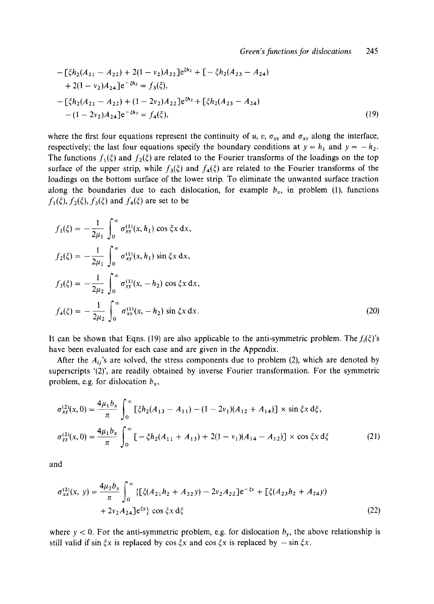$$
-\left[\xi h_2(A_{21} - A_{22}) + 2(1 - v_2)A_{22}\right]e^{\xi h_2} + \left[-\xi h_2(A_{23} - A_{24})\right] + 2(1 - v_2)A_{24}\right]e^{-\xi h_2} = f_3(\xi), - \left[\xi h_2(A_{21} - A_{22}) + (1 - 2v_2)A_{22}\right]e^{\xi h_2} + \left[\xi h_2(A_{23} - A_{24})\right] - (1 - 2v_2)A_{24}\right]e^{-\xi h_2} = f_4(\xi),
$$
\n(19)

where the first four equations represent the continuity of *u*, *v*,  $\sigma_{yy}$  and  $\sigma_{xy}$  along the interface, respectively; the last four equations specify the boundary conditions at  $y = h_1$  and  $y = -h_2$ . The functions  $f_1(\xi)$  and  $f_2(\xi)$  are related to the Fourier transforms of the loadings on the top surface of the upper strip, while  $f_3(\xi)$  and  $f_4(\xi)$  are related to the Fourier transforms of the loadings on the bottom surface of the lower strip. To eliminate the unwanted surface traction along the boundaries due to each dislocation, for example  $b<sub>x</sub>$ , in problem (1), functions  $f_1(\xi)$ ,  $f_2(\xi)$ ,  $f_3(\xi)$  and  $f_4(\xi)$  are set to be

$$
f_1(\xi) = -\frac{1}{2\mu_1} \int_0^\infty \sigma_{yy}^{(1)}(x, h_1) \cos \xi x \, dx,
$$
  
\n
$$
f_2(\xi) = -\frac{1}{2\mu_1} \int_0^\infty \sigma_{xy}^{(1)}(x, h_1) \sin \xi x \, dx,
$$
  
\n
$$
f_3(\xi) = -\frac{1}{2\mu_2} \int_0^\infty \sigma_{yy}^{(1)}(x, -h_2) \cos \xi x \, dx,
$$
  
\n
$$
f_4(\xi) = -\frac{1}{2\mu_2} \int_0^\infty \sigma_{xy}^{(1)}(x, -h_2) \sin \xi x \, dx.
$$
\n(20)

It can be shown that Eqns. (19) are also applicable to the anti-symmetric problem. The  $f_i(\xi)$ 's have been evaluated for each case and are given in the Appendix.

After the  $A_{ij}$ 's are solved, the stress components due to problem (2), which are denoted by superscripts '(2)', are readily obtained by inverse Fourier transformation. For the symmetric problem, e.g. for dislocation  $b_x$ ,

$$
\sigma_{xy}^{(2)}(x,0) = \frac{4\mu_1 b_x}{\pi} \int_0^\infty \left[ \xi h_2 (A_{13} - A_{11}) - (1 - 2v_1)(A_{12} + A_{14}) \right] \times \sin \xi x \, d\xi,
$$
  

$$
\sigma_{yy}^{(2)}(x,0) = \frac{4\mu_1 b_x}{\pi} \int_0^\infty \left[ -\xi h_2 (A_{11} + A_{13}) + 2(1 - v_1)(A_{14} - A_{12}) \right] \times \cos \xi x \, d\xi
$$
(21)

and

$$
\sigma_{xx}^{(2)}(x, y) = \frac{4\mu_2 b_x}{\pi} \int_0^\infty \{ [\xi(A_{21}h_2 + A_{22}y) - 2v_2 A_{22}] e^{-\xi y} + [\xi(A_{23}h_2 + A_{24}y) + 2v_2 A_{24}] e^{\xi y} \} \cos \xi x d\xi
$$
\n(22)

where  $y < 0$ . For the anti-symmetric problem, e.g. for dislocation  $b<sub>y</sub>$ , the above relationship is still valid if sin  $\xi x$  is replaced by cos  $\xi x$  and cos  $\xi x$  is replaced by  $-\sin \xi x$ .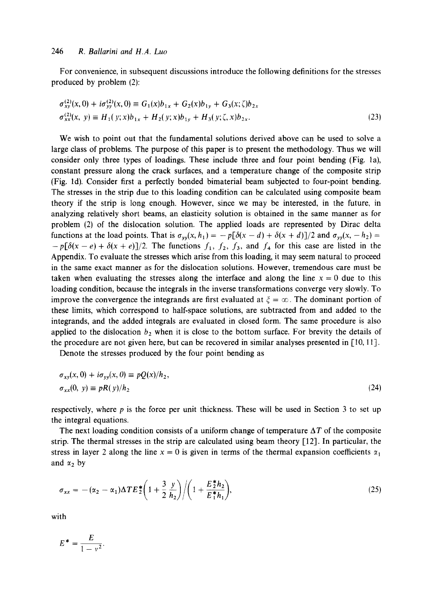For convenience, in subsequent discussions introduce the following definitions for the stresses produced by problem (2):

$$
\sigma_{xy}^{(2)}(x,0) + i\sigma_{yy}^{(2)}(x,0) \equiv G_1(x)b_{1x} + G_2(x)b_{1y} + G_3(x;\zeta)b_{2x}
$$
  
\n
$$
\sigma_{xx}^{(2)}(x, y) \equiv H_1(y;x)b_{1x} + H_2(y;x)b_{1y} + H_3(y;\zeta,x)b_{2x}.
$$
\n(23)

We wish to point out that the fundamental solutions derived above can be used to solve a large class of problems. The purpose of this paper is to present the methodology. Thus we will consider only three types of loadings. These include three and four point bending (Fig. la), constant pressure along the crack surfaces, and a temperature change of the composite strip (Fig. ld). Consider first a perfectly bonded bimaterial beam subjected to four-point bending. The stresses in the strip due to this loading condition can be calculated using composite beam theory if the strip is long enough. However, since we may be interested, in the future, in analyzing relatively short beams, an elasticity solution is obtained in the same manner as for problem (2) of the dislocation solution. The applied loads are represented by Dirac delta functions at the load points. That is  $\sigma_{yy}(x, h_1) = -p[\delta(x - d) + \delta(x + d)]/2$  and  $\sigma_{yy}(x, -h_2) =$  $-p[\delta(x-e)+\delta(x+e)]/2$ . The functions  $f_1, f_2, f_3$ , and  $f_4$  for this case are listed in the Appendix. To evaluate the stresses which arise from this loading, it may seem natural to proceed in the same exact manner as for the dislocation solutions. However, tremendous care must be taken when evaluating the stresses along the interface and along the line  $x = 0$  due to this loading condition, because the integrals in the inverse transformations converge very slowly. To improve the convergence the integrands are first evaluated at  $\xi = \infty$ . The dominant portion of these limits, which correspond to half-space solutions, are subtracted from and added to the integrands, and the added integrals are evaluated in closed form. The same procedure is also applied to the dislocation  $b_2$  when it is close to the bottom surface. For brevity the details of the procedure are not given here, but can be recovered in similar analyses presented in  $\lceil 10, 11 \rceil$ .

Denote the stresses produced by the four point bending as

$$
\sigma_{xy}(x,0) + i\sigma_{yy}(x,0) \equiv pQ(x)/h_2,
$$
  
\n
$$
\sigma_{xx}(0, y) \equiv pR(y)/h_2
$$
\n(24)

respectively, where  $p$  is the force per unit thickness. These will be used in Section 3 to set up the integral equations.

The next loading condition consists of a uniform change of temperature  $\Delta T$  of the composite strip. The thermal stresses in the strip are calculated using beam theory [12]. In particular, the stress in layer 2 along the line  $x = 0$  is given in terms of the thermal expansion coefficients  $x_1$ and  $\alpha_2$  by

$$
\sigma_{xx} = -(\alpha_2 - \alpha_1) \Delta T E_{2}^* \left( 1 + \frac{3}{2} \frac{y}{h_2} \right) / \left( 1 + \frac{E_{2}^* h_2}{E_{1}^* h_1} \right), \tag{25}
$$

$$
E^* = \frac{E}{1 - v^2}.
$$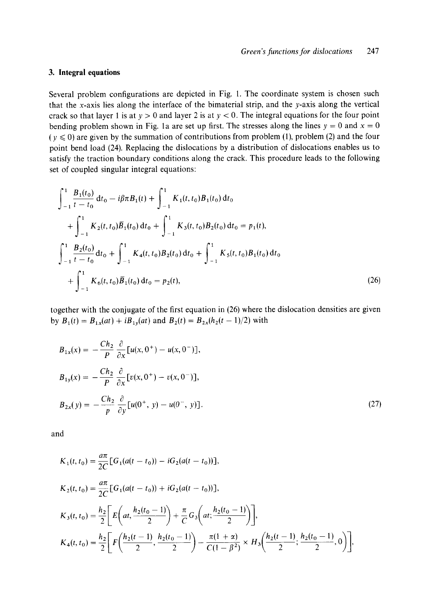#### **3. Integral equations**

Several problem configurations are depicted in Fig. 1. The coordinate system is chosen such that the x-axis lies along the interface of the bimaterial strip, and the y-axis along the vertical crack so that layer 1 is at  $y > 0$  and layer 2 is at  $y < 0$ . The integral equations for the four point bending problem shown in Fig. 1a are set up first. The stresses along the lines  $y = 0$  and  $x = 0$  $(y \le 0)$  are given by the summation of contributions from problem (1), problem (2) and the four point bend load (24). Replacing the dislocations by a distribution of dislocations enables us to satisfy the traction boundary conditions along the crack. This procedure leads to the following set of coupled singular integral equations:

$$
\int_{-1}^{1} \frac{B_1(t_0)}{t - t_0} dt_0 - i\beta \pi B_1(t) + \int_{-1}^{1} K_1(t, t_0) B_1(t_0) dt_0 \n+ \int_{-1}^{1} K_2(t, t_0) \overline{B}_1(t_0) dt_0 + \int_{-1}^{1} K_3(t, t_0) B_2(t_0) dt_0 = p_1(t), \n\int_{-1}^{1} \frac{B_2(t_0)}{t - t_0} dt_0 + \int_{-1}^{1} K_4(t, t_0) B_2(t_0) dt_0 + \int_{-1}^{1} K_5(t, t_0) B_1(t_0) dt_0 \n+ \int_{-1}^{1} K_6(t, t_0) \overline{B}_1(t_0) dt_0 = p_2(t),
$$
\n(26)

together with the conjugate of the first equation in (26) where the dislocation densities are given by  $B_1(t) = B_{1x}(at) + iB_{1y}(at)$  and  $B_2(t) = B_{2x}(h_2(t-1)/2)$  with

$$
B_{1x}(x) = -\frac{Ch_2}{P} \frac{\partial}{\partial x} [u(x, 0^+) - u(x, 0^-)],
$$
  
\n
$$
B_{1y}(x) = -\frac{Ch_2}{P} \frac{\partial}{\partial x} [v(x, 0^+) - v(x, 0^-)],
$$
  
\n
$$
B_{2x}(y) = -\frac{Ch_2}{p} \frac{\partial}{\partial y} [u(0^+, y) - u(0^-, y)].
$$
\n(27)

and

$$
K_1(t, t_0) = \frac{a\pi}{2C} [G_1(a(t - t_0)) - iG_2(a(t - t_0))],
$$
  
\n
$$
K_2(t, t_0) = \frac{a\pi}{2C} [G_1(a(t - t_0)) + iG_2(a(t - t_0))],
$$
  
\n
$$
K_3(t, t_0) = \frac{h_2}{2} \bigg[ E\bigg(at, \frac{h_2(t_0 - 1)}{2}\bigg) + \frac{\pi}{C} G_3\bigg(at, \frac{h_2(t_0 - 1)}{2}\bigg) \bigg],
$$
  
\n
$$
K_4(t, t_0) = \frac{h_2}{2} \bigg[ F\bigg(\frac{h_2(t - 1)}{2}, \frac{h_2(t_0 - 1)}{2}\bigg) - \frac{\pi(1 + \alpha)}{C(1 - \beta^2)} \times H_3\bigg(\frac{h_2(t - 1)}{2}, \frac{h_2(t_0 - 1)}{2}, 0\bigg) \bigg],
$$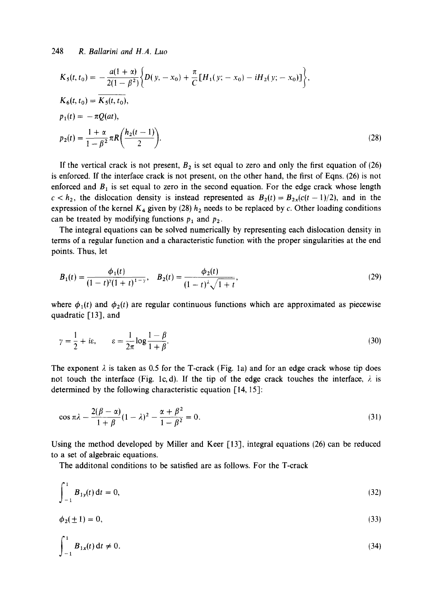$$
K_5(t, t_0) = -\frac{a(1+\alpha)}{2(1-\beta^2)} \Big\{ D(y, -x_0) + \frac{\pi}{C} [H_1(y; -x_0) - iH_2(y; -x_0)] \Big\},
$$
  
\n
$$
K_6(t, t_0) = \overline{K_5(t, t_0)},
$$
  
\n
$$
p_1(t) = -\pi Q(at),
$$
  
\n
$$
p_2(t) = \frac{1+\alpha}{1-\beta^2} \pi R \Big( \frac{h_2(t-1)}{2} \Big).
$$
\n(28)

If the vertical crack is not present,  $B_2$  is set equal to zero and only the first equation of (26) is enforced. If the interface crack is not present, on the other hand, the first of Eqns. (26) is not enforced and  $B_1$  is set equal to zero in the second equation. For the edge crack whose length  $c < h_2$ , the dislocation density is instead represented as  $B_2(t) = B_{2x}(c(t-1)/2)$ , and in the expression of the kernel  $K_4$  given by (28)  $h_2$  needs to be replaced by c. Other loading conditions can be treated by modifying functions  $p_1$  and  $p_2$ .

The integral equations can be solved numerically by representing each dislocation density in terms of a regular function and a characteristic function with the proper singularities at the end points. Thus, let

$$
B_1(t) = \frac{\phi_1(t)}{(1-t)^{\gamma}(1+t)^{1-\gamma}}, \quad B_2(t) = \frac{\phi_2(t)}{(1-t)^{\lambda}\sqrt{1+t}}, \tag{29}
$$

where  $\phi_1(t)$  and  $\phi_2(t)$  are regular continuous functions which are approximated as piecewise quadratic [13], and

$$
\gamma = \frac{1}{2} + i\varepsilon, \qquad \varepsilon = \frac{1}{2\pi} \log \frac{1-\beta}{1+\beta}.
$$
\n(30)

The exponent  $\lambda$  is taken as 0.5 for the T-crack (Fig. 1a) and for an edge crack whose tip does not touch the interface (Fig. 1c, d). If the tip of the edge crack touches the interface,  $\lambda$  is determined by the following characteristic equation [14, 15]:

$$
\cos \pi \lambda - \frac{2(\beta - \alpha)}{1 + \beta} (1 - \lambda)^2 - \frac{\alpha + \beta^2}{1 - \beta^2} = 0.
$$
 (31)

Using the method developed by Miller and Keer [13], integral equations (26) can be reduced to a set of algebraic equations.

The additonal conditions to be satisfied are as follows. For the T-crack

$$
\int_{-1}^{1} B_{1y}(t) dt = 0, \tag{32}
$$

$$
\phi_2(\pm 1) = 0,\tag{33}
$$

$$
\int_{-1}^{1} B_{1x}(t) dt \neq 0.
$$
 (34)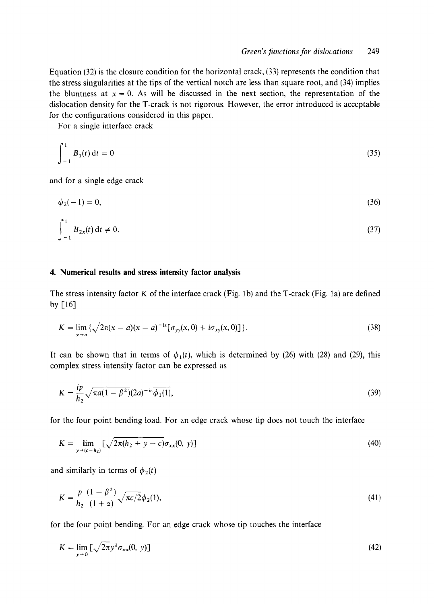Equation (32) is the closure condition for the horizontal crack, (33) represents the condition that the stress singularities at the tips of the vertical notch are less than square root, and (34) implies the bluntness at  $x = 0$ . As will be discussed in the next section, the representation of the dislocation density for the T-crack is not rigorous. However, the error introduced is acceptable for the configurations considered in this paper.

For a single interface crack

$$
\int_{-1}^{1} B_1(t) dt = 0 \tag{35}
$$

and for a single edge crack

$$
\phi_2(-1) = 0,\tag{36}
$$

$$
\int_{-1}^{1} B_{2x}(t) dt \neq 0.
$$
 (37)

#### **4. Numerical results and stress intensity factor analysis**

The stress intensity factor K of the interface crack (Fig. 1b) and the T-crack (Fig. 1a) are defined by [16]

$$
K = \lim_{x \to a} \left\{ \sqrt{2\pi (x - a)} (x - a)^{-i\epsilon} \left[ \sigma_{yy}(x, 0) + i \sigma_{xy}(x, 0) \right] \right\}.
$$
 (38)

It can be shown that in terms of  $\phi_1(t)$ , which is determined by (26) with (28) and (29), this complex stress intensity factor can be expressed as

$$
K = \frac{ip}{h_2} \sqrt{\pi a (1 - \beta^2)} (2a)^{-i\epsilon} \overline{\phi_1(1)},
$$
\n(39)

for the four point bending load. For an edge crack whose tip does not touch the interface

$$
K = \lim_{y \to (c-h_2)} \left[ \sqrt{2\pi (h_2 + y - c)} \sigma_{xx}(0, y) \right]
$$
(40)

and similarly in terms of  $\phi_2(t)$ 

$$
K = \frac{p}{h_2} \frac{(1 - \beta^2)}{(1 + \alpha)} \sqrt{\pi c/2} \phi_2(1),\tag{41}
$$

for the four point bending. For an edge crack whose tip touches the interface

$$
K = \lim_{y \to 0} \left[ \sqrt{2\pi} y^{\lambda} \sigma_{xx}(0, y) \right]
$$
 (42)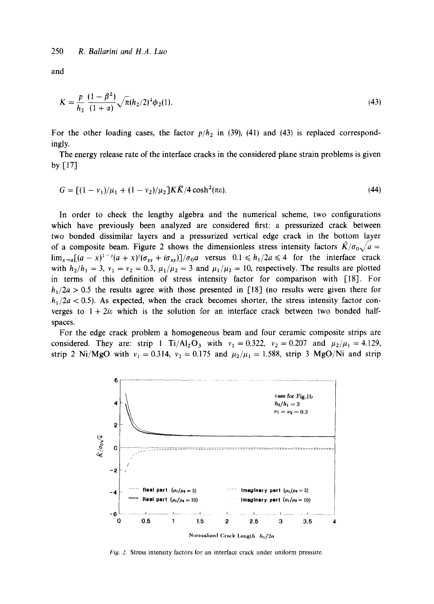and

$$
K = \frac{p}{h_2} \frac{(1 - \beta^2)}{(1 + \alpha)} \sqrt{\pi (h_2/2)^{\lambda} \phi_2(1)}.
$$
 (43)

For the other loading cases, the factor  $p/h_2$  in (39), (41) and (43) is replaced correspondingly.

The energy release rate of the interface cracks in the considered plane strain problems is given by  $[17]$ 

$$
G = \left[ (1 - v_1)/\mu_1 + (1 - v_2)/\mu_2 \right] K \bar{K} / 4 \cosh^2(\pi \varepsilon). \tag{44}
$$

In order to check the lengthy algebra and the numerical scheme, two configurations which have previously been analyzed are considered first: a pressurized crack between two bonded dissimilar layers and a pressurized vertical edge crack in the bottom layer of a composite beam. Figure 2 shows the dimensionless stress intensity factors  $\hat{K}/\sigma_0\sqrt{a} =$  $\lim_{x\to a}[(a-x)^{1-\gamma}(a+x)^{\gamma}(\sigma_{yy}+i\sigma_{xy})]/\sigma_0 a$  versus  $0.1 \le h_1/2a \le 4$  for the interface crack with  $h_2/h_1 = 3$ ,  $v_1 = v_2 = 0.3$ ,  $\mu_1/\mu_2 = 3$  and  $\mu_1/\mu_2 = 10$ , respectively. The results are plotted in terms of this definition of stress intensity factor for comparison with [18]. For  $h_1/2a > 0.5$  the results agree with those presented in [18] (no results were given there for  $h_1/2a$  < 0.5). As expected, when the crack becomes shorter, the stress intensity factor converges to  $1 + 2i\varepsilon$  which is the solution for an interface crack between two bonded halfspaces.

For the edge crack problem a homogeneous beam and four ceramic composite strips are considered. They are: strip 1 Ti/Al<sub>2</sub>O<sub>3</sub> with  $v_1 = 0.322$ ,  $v_2 = 0.207$  and  $\mu_2/\mu_1 = 4.129$ , strip 2 Ni/MgO with  $v_1 = 0.314$ ,  $v_2 = 0.175$  and  $\mu_2/\mu_1 = 1.588$ , strip 3 MgO/Ni and strip



*Fig. 2.* Stress intensity factors for an interface crack under uniform pressure.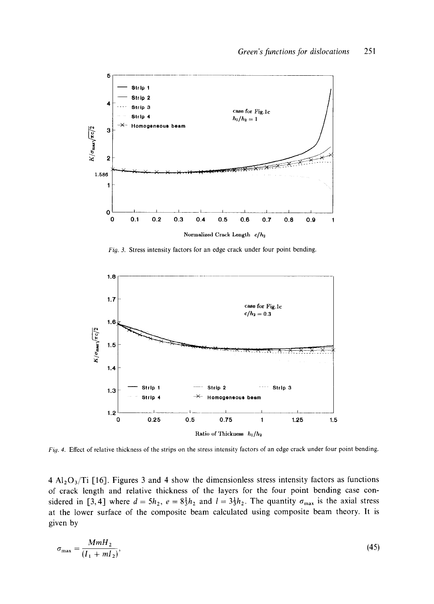

*Fig. 3.* Stress intensity factors for an edge crack under four point bending.



*Fig. 4.* Effect of relative thickness of the strips on the stress intensity factors of an edge crack under four point bending.

 $4$  Al<sub>2</sub>O<sub>3</sub>/Ti [16]. Figures 3 and 4 show the dimensionless stress intensity factors as functions of crack length and relative thickness of the layers for the four point bending case considered in [3, 4] where  $d = 5h_2$ ,  $e = 8\frac{1}{3}h_2$  and  $l = 3\frac{1}{3}h_2$ . The quantity  $\sigma_{\text{max}}$  is the axial stress at the lower surface of the composite beam calculated using composite beam theory. It is given by

$$
\sigma_{\text{max}} = \frac{Mm_{2}}{(I_1 + mI_2)},\tag{45}
$$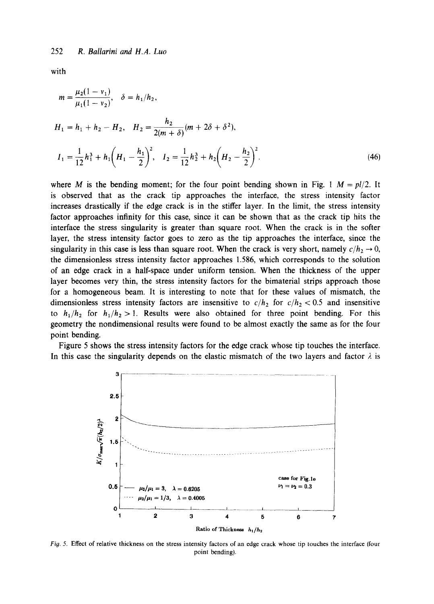with

$$
m = \frac{\mu_2(1 - v_1)}{\mu_1(1 - v_2)}, \quad \delta = h_1/h_2,
$$
  
\n
$$
H_1 = h_1 + h_2 - H_2, \quad H_2 = \frac{h_2}{2(m + \delta)}(m + 2\delta + \delta^2),
$$
  
\n
$$
I_1 = \frac{1}{12}h_1^3 + h_1\left(H_1 - \frac{h_1}{2}\right)^2, \quad I_2 = \frac{1}{12}h_2^3 + h_2\left(H_2 - \frac{h_2}{2}\right)^2.
$$
 (46)

where M is the bending moment; for the four point bending shown in Fig. 1  $M = pl/2$ . It is observed that as the crack tip approaches the interface, the stress intensity factor increases drastically if the edge crack is in the stiffer layer. In the limit, the stress intensity factor approaches infinity for this case, since it can be shown that as the crack tip hits the interface the stress singularity is greater than square root. When the crack is in the softer layer, the stress intensity factor goes to zero as the tip approaches the interface, since the singularity in this case is less than square root. When the crack is very short, namely  $c/h_2 \rightarrow 0$ , the dimensionless stress intensity factor approaches 1.586, which corresponds to the solution of an edge crack in a half-space under uniform tension. When the thickness of the upper layer becomes very thin, the stress intensity factors for the bimaterial strips approach those for a homogeneous beam. It is interesting to note that for these values of mismatch, the dimensionless stress intensity factors are insensitive to  $c/h_2$  for  $c/h_2 < 0.5$  and insensitive to  $h_1/h_2$  for  $h_1/h_2 > 1$ . Results were also obtained for three point bending. For this geometry the nondimensional results were found to be almost exactly the same as for the four point bending.

Figure 5 shows the stress intensity factors for the edge crack whose tip touches the interface. In this case the singularity depends on the elastic mismatch of the two layers and factor  $\lambda$  is



*Fig. 5.* Effect of relative thickness on the stress intensity factors of an edge crack whose tip touches the interface (four point bending).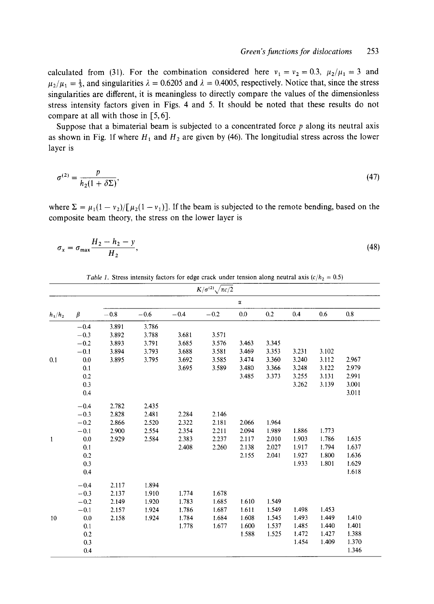calculated from (31). For the combination considered here  $v_1 = v_2 = 0.3$ ,  $\mu_2/\mu_1 = 3$  and  $\mu_2/\mu_1 = \frac{1}{3}$ , and singularities  $\lambda = 0.6205$  and  $\lambda = 0.4005$ , respectively. Notice that, since the stress **singularities are different, it is meaningless to directly compare the values of the dimensionless stress intensity factors given in Figs. 4 and 5. It should be noted that these results do not compare at all with those in [5, 6].** 

**Suppose that a bimaterial beam is subjected to a concentrated force p along its neutral axis**  as shown in Fig. 1f where  $H_1$  and  $H_2$  are given by (46). The longitudial stress across the lower **layer is** 

$$
\sigma^{(2)} = \frac{p}{h_2(1+\delta\Sigma)},\tag{47}
$$

where  $\Sigma = \mu_1(1 - v_2)/[\mu_2(1 - v_1)]$ . If the beam is subjected to the remote bending, based on the **composite beam theory, the stress on the lower layer is** 

$$
\sigma_x = \sigma_{\text{max}} \frac{H_2 - h_2 - y}{H_2},\tag{48}
$$

|  |  | Table 1. Stress intensity factors for edge crack under tension along neutral axis $(c/h2 = 0.5)$ |  |  |  |  |  |  |  |  |  |  |  |
|--|--|--------------------------------------------------------------------------------------------------|--|--|--|--|--|--|--|--|--|--|--|
|--|--|--------------------------------------------------------------------------------------------------|--|--|--|--|--|--|--|--|--|--|--|

|           |          |        |        |        | $K/\sigma^{(2)}\sqrt{\pi c/2}$ |       |       |       |       |       |  |  |  |
|-----------|----------|--------|--------|--------|--------------------------------|-------|-------|-------|-------|-------|--|--|--|
|           | $\alpha$ |        |        |        |                                |       |       |       |       |       |  |  |  |
| $h_1/h_2$ | $\beta$  | $-0.8$ | $-0.6$ | $-0.4$ | $-0.2$                         | 0.0   | 0.2   | 0.4   | 0.6   | 0.8   |  |  |  |
|           | $-0.4$   | 3.891  | 3.786  |        |                                |       |       |       |       |       |  |  |  |
|           | $-0.3$   | 3.892  | 3.788  | 3.681  | 3.571                          |       |       |       |       |       |  |  |  |
|           | $-0.2$   | 3.893  | 3.791  | 3.685  | 3.576                          | 3.463 | 3.345 |       |       |       |  |  |  |
|           | $-0.1$   | 3.894  | 3.793  | 3.688  | 3.581                          | 3.469 | 3.353 | 3.231 | 3.102 |       |  |  |  |
| 0.1       | 0.0      | 3.895  | 3.795  | 3.692  | 3.585                          | 3.474 | 3.360 | 3.240 | 3.112 | 2.967 |  |  |  |
|           | 0.1      |        |        | 3.695  | 3.589                          | 3.480 | 3.366 | 3.248 | 3.122 | 2.979 |  |  |  |
|           | 0.2      |        |        |        |                                | 3.485 | 3.373 | 3.255 | 3.131 | 2.991 |  |  |  |
|           | 0.3      |        |        |        |                                |       |       | 3.262 | 3.139 | 3.001 |  |  |  |
|           | 0.4      |        |        |        |                                |       |       |       |       | 3.011 |  |  |  |
|           | $-0.4$   | 2.782  | 2.435  |        |                                |       |       |       |       |       |  |  |  |
|           | $-0.3$   | 2.828  | 2.481  | 2.284  | 2.146                          |       |       |       |       |       |  |  |  |
|           | $-0.2$   | 2.866  | 2.520  | 2.322  | 2.181                          | 2.066 | 1.964 |       |       |       |  |  |  |
|           | $-0.1$   | 2.900  | 2.554  | 2.354  | 2.211                          | 2.094 | 1.989 | 1.886 | 1.773 |       |  |  |  |
| 1         | 0.0      | 2.929  | 2.584  | 2.383  | 2.237                          | 2.117 | 2.010 | 1.903 | 1.786 | 1.635 |  |  |  |
|           | 0.1      |        |        | 2.408  | 2.260                          | 2.138 | 2.027 | 1.917 | 1.794 | 1.637 |  |  |  |
|           | 0.2      |        |        |        |                                | 2.155 | 2.041 | 1.927 | 1.800 | 1.636 |  |  |  |
|           | 0.3      |        |        |        |                                |       |       | 1.933 | 1.801 | 1.629 |  |  |  |
|           | 0.4      |        |        |        |                                |       |       |       |       | 1.618 |  |  |  |
|           | $-0.4$   | 2.117  | 1.894  |        |                                |       |       |       |       |       |  |  |  |
|           | $-0.3$   | 2.137  | 1.910  | 1.774  | 1.678                          |       |       |       |       |       |  |  |  |
|           | $-0.2$   | 2.149  | 1.920  | 1.783  | 1.685                          | 1.610 | 1.549 |       |       |       |  |  |  |
|           | $-0.1$   | 2.157  | 1.924  | 1.786  | 1.687                          | 1.611 | 1.549 | 1.498 | 1.453 |       |  |  |  |
| 10        | 0.0      | 2.158  | 1.924  | 1.784  | 1.684                          | 1.608 | 1.545 | 1.493 | 1.449 | 1.410 |  |  |  |
|           | 0.1      |        |        | 1.778  | 1.677                          | 1.600 | 1.537 | 1.485 | 1.440 | 1.401 |  |  |  |
|           | 0.2      |        |        |        |                                | 1.588 | 1.525 | 1.472 | 1.427 | 1.388 |  |  |  |
|           | 0.3      |        |        |        |                                |       |       | 1.454 | 1.409 | 1.370 |  |  |  |
|           | 0.4      |        |        |        |                                |       |       |       |       | 1.346 |  |  |  |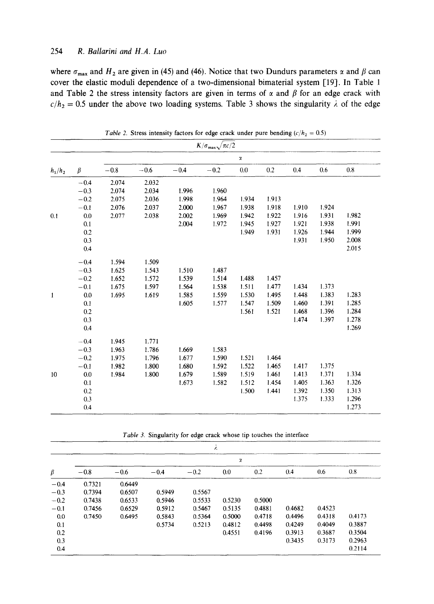where  $\sigma_{\text{max}}$  and  $H_2$  are given in (45) and (46). Notice that two Dundurs parameters  $\alpha$  and  $\beta$  can **cover the elastic moduli dependence of a two-dimensional bimaterial system [19]. In Table 1**  and Table 2 the stress intensity factors are given in terms of  $\alpha$  and  $\beta$  for an edge crack with  $c/h_2 = 0.5$  under the above two loading systems. Table 3 shows the singularity  $\lambda$  of the edge

|           |         |              |        |        | $K/\sigma_{\text{max}}/\pi c/2$ |       |       |       |       |       |  |  |  |
|-----------|---------|--------------|--------|--------|---------------------------------|-------|-------|-------|-------|-------|--|--|--|
|           |         | $\pmb{\chi}$ |        |        |                                 |       |       |       |       |       |  |  |  |
| $h_1/h_2$ | $\beta$ | $-0.8$       | $-0.6$ | $-0.4$ | $-0.2$                          | 0.0   | 0.2   | 0.4   | 0.6   | 0.8   |  |  |  |
|           | $-0.4$  | 2.074        | 2.032  |        |                                 |       |       |       |       |       |  |  |  |
|           | $-0.3$  | 2.074        | 2.034  | 1.996  | 1.960                           |       |       |       |       |       |  |  |  |
|           | $-0.2$  | 2.075        | 2.036  | 1.998  | 1.964                           | 1.934 | 1.913 |       |       |       |  |  |  |
|           | $-0.1$  | 2.076        | 2.037  | 2.000  | 1.967                           | 1.938 | 1.918 | 1.910 | 1.924 |       |  |  |  |
| 0.1       | 0.0     | 2.077        | 2.038  | 2.002  | 1.969                           | 1.942 | 1.922 | 1.916 | 1.931 | 1.982 |  |  |  |
|           | 0.1     |              |        | 2.004  | 1.972                           | 1.945 | 1.927 | 1.921 | 1.938 | 1.991 |  |  |  |
|           | 0.2     |              |        |        |                                 | 1.949 | 1.931 | 1.926 | 1.944 | 1.999 |  |  |  |
|           | 0.3     |              |        |        |                                 |       |       | 1.931 | 1.950 | 2.008 |  |  |  |
|           | 0.4     |              |        |        |                                 |       |       |       |       | 2.015 |  |  |  |
|           | $-0.4$  | 1.594        | 1.509  |        |                                 |       |       |       |       |       |  |  |  |
|           | $-0.3$  | 1.625        | 1.543  | 1.510  | 1.487                           |       |       |       |       |       |  |  |  |
|           | $-0.2$  | 1.652        | 1.572  | 1.539  | 1.514                           | 1.488 | 1.457 |       |       |       |  |  |  |
|           | $-0.1$  | 1.675        | 1.597  | 1.564  | 1.538                           | 1.511 | 1.477 | 1.434 | 1.373 |       |  |  |  |
| 1         | 0.0     | 1.695        | 1.619  | 1.585  | 1.559                           | 1.530 | 1.495 | 1.448 | 1.383 | 1.283 |  |  |  |
|           | 0.1     |              |        | 1.605  | 1.577                           | 1.547 | 1.509 | 1.460 | 1.391 | 1.285 |  |  |  |
|           | 0.2     |              |        |        |                                 | 1.561 | 1.521 | 1.468 | 1.396 | 1.284 |  |  |  |
|           | 0.3     |              |        |        |                                 |       |       | 1.474 | 1.397 | 1.278 |  |  |  |
|           | 0.4     |              |        |        |                                 |       |       |       |       | 1.269 |  |  |  |
|           | $-0.4$  | 1.945        | 1.771  |        |                                 |       |       |       |       |       |  |  |  |
|           | $-0.3$  | 1.963        | 1.786  | 1.669  | 1.583                           |       |       |       |       |       |  |  |  |
|           | $-0.2$  | 1.975        | 1.796  | 1.677  | 1.590                           | 1.521 | 1.464 |       |       |       |  |  |  |
|           | $-0.1$  | 1.982        | 1.800  | 1.680  | 1.592                           | 1.522 | 1.465 | 1.417 | 1.375 |       |  |  |  |
| 10        | $0.0\,$ | 1.984        | 1.800  | 1.679  | 1.589                           | 1.519 | 1.461 | 1.413 | 1.371 | 1.334 |  |  |  |
|           | 0.1     |              |        | 1.673  | 1.582                           | 1.512 | 1.454 | 1.405 | 1.363 | 1.326 |  |  |  |
|           | 0.2     |              |        |        |                                 | 1.500 | 1.441 | 1.392 | 1.350 | 1.313 |  |  |  |
|           | 0.3     |              |        |        |                                 |       |       | 1.375 | 1.333 | 1.296 |  |  |  |
|           | 0.4     |              |        |        |                                 |       |       |       |       | 1.273 |  |  |  |

*Table 2.* Stress intensity factors for edge crack under pure bending  $(c/h_2 = 0.5)$ 

| Table 3. Singularity for edge crack whose tip touches the interface |  |  |  |  |  |  |  |  |
|---------------------------------------------------------------------|--|--|--|--|--|--|--|--|
|---------------------------------------------------------------------|--|--|--|--|--|--|--|--|

|         |        |        |        | ĵ,     |        |        |        |        |        |  |  |  |  |
|---------|--------|--------|--------|--------|--------|--------|--------|--------|--------|--|--|--|--|
|         | $\chi$ |        |        |        |        |        |        |        |        |  |  |  |  |
| $\beta$ | $-0.8$ | $-0.6$ | $-0.4$ | $-0.2$ | 0.0    | 0.2    | 0.4    | 0.6    | 0.8    |  |  |  |  |
| $-0.4$  | 0.7321 | 0.6449 |        |        |        |        |        |        |        |  |  |  |  |
| $-0.3$  | 0.7394 | 0.6507 | 0.5949 | 0.5567 |        |        |        |        |        |  |  |  |  |
| $-0.2$  | 0.7438 | 0.6533 | 0.5946 | 0.5533 | 0.5230 | 0.5000 |        |        |        |  |  |  |  |
| $-0.1$  | 0.7456 | 0.6529 | 0.5912 | 0.5467 | 0.5135 | 0.4881 | 0.4682 | 0.4523 |        |  |  |  |  |
| 0.0     | 0.7450 | 0.6495 | 0.5843 | 0.5364 | 0.5000 | 0.4718 | 0.4496 | 0.4318 | 0.4173 |  |  |  |  |
| 0.1     |        |        | 0.5734 | 0.5213 | 0.4812 | 0.4498 | 0.4249 | 0.4049 | 0.3887 |  |  |  |  |
| 0.2     |        |        |        |        | 0.4551 | 0.4196 | 0.3913 | 0.3687 | 0.3504 |  |  |  |  |
| 0.3     |        |        |        |        |        |        | 0.3435 | 0.3173 | 0.2963 |  |  |  |  |
| 0.4     |        |        |        |        |        |        |        |        | 0.2114 |  |  |  |  |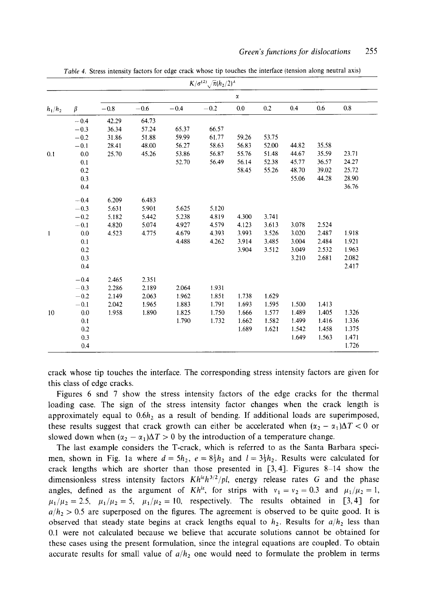|              |          |        |        |        | $K/\sigma^{(2)}\sqrt{\pi}(h_2/2)^{\lambda}$ |       |       |       |       |       |  |  |  |
|--------------|----------|--------|--------|--------|---------------------------------------------|-------|-------|-------|-------|-------|--|--|--|
|              | $\alpha$ |        |        |        |                                             |       |       |       |       |       |  |  |  |
| $h_1/h_2$    | β        | $-0.8$ | $-0.6$ | $-0.4$ | $-0.2$                                      | 0.0   | 0.2   | 0.4   | 0.6   | 0.8   |  |  |  |
|              | $-0.4$   | 42.29  | 64.73  |        |                                             |       |       |       |       |       |  |  |  |
|              | $-0.3$   | 36.34  | 57.24  | 65.37  | 66.57                                       |       |       |       |       |       |  |  |  |
|              | $-0.2$   | 31.86  | 51.88  | 59.99  | 61.77                                       | 59.26 | 53.75 |       |       |       |  |  |  |
|              | $-0.1$   | 28.41  | 48.00  | 56.27  | 58.63                                       | 56.83 | 52.00 | 44.82 | 35.58 |       |  |  |  |
| 0.1          | 0.0      | 25.70  | 45.26  | 53.86  | 56.87                                       | 55.76 | 51.48 | 44.67 | 35.59 | 23.71 |  |  |  |
|              | 0.1      |        |        | 52.70  | 56.49                                       | 56.14 | 52.38 | 45.77 | 36.57 | 24.27 |  |  |  |
|              | 0.2      |        |        |        |                                             | 58.45 | 55.26 | 48.70 | 39.02 | 25.72 |  |  |  |
|              | 0.3      |        |        |        |                                             |       |       | 55.06 | 44.28 | 28.90 |  |  |  |
|              | 0.4      |        |        |        |                                             |       |       |       |       | 36.76 |  |  |  |
|              | $-0.4$   | 6.209  | 6.483  |        |                                             |       |       |       |       |       |  |  |  |
|              | $-0.3$   | 5.631  | 5.901  | 5.625  | 5.120                                       |       |       |       |       |       |  |  |  |
|              | $-0.2$   | 5.182  | 5.442  | 5.238  | 4.819                                       | 4.300 | 3.741 |       |       |       |  |  |  |
|              | $-0.1$   | 4.820  | 5.074  | 4.927  | 4.579                                       | 4.123 | 3.613 | 3.078 | 2.524 |       |  |  |  |
| $\mathbf{1}$ | $0.0\,$  | 4.523  | 4.775  | 4.679  | 4.393                                       | 3.993 | 3.526 | 3.020 | 2.487 | 1.918 |  |  |  |
|              | 0.1      |        |        | 4.488  | 4.262                                       | 3.914 | 3.485 | 3.004 | 2.484 | 1.921 |  |  |  |
|              | 0.2      |        |        |        |                                             | 3.904 | 3.512 | 3.049 | 2.532 | 1.963 |  |  |  |
|              | 0.3      |        |        |        |                                             |       |       | 3.210 | 2.681 | 2.082 |  |  |  |
|              | 0.4      |        |        |        |                                             |       |       |       |       | 2.417 |  |  |  |
|              | $-0.4$   | 2.465  | 2.351  |        |                                             |       |       |       |       |       |  |  |  |
|              | $-0.3$   | 2.286  | 2.189  | 2.064  | 1.931                                       |       |       |       |       |       |  |  |  |
|              | $-0.2$   | 2.149  | 2.063  | 1.962  | 1.851                                       | 1.738 | 1.629 |       |       |       |  |  |  |
|              | $\!-0.1$ | 2.042  | 1.965  | 1.883  | 1.791                                       | 1.693 | 1.595 | 1.500 | 1.413 |       |  |  |  |
| 10           | 0.0      | 1.958  | 1.890  | 1.825  | 1.750                                       | 1.666 | 1.577 | 1.489 | 1.405 | 1.326 |  |  |  |
|              | 0.1      |        |        | 1.790  | 1.732                                       | 1.662 | 1.582 | 1.499 | 1.416 | 1.336 |  |  |  |
|              | 0.2      |        |        |        |                                             | 1.689 | 1.621 | 1.542 | 1.458 | 1.375 |  |  |  |
|              | 0.3      |        |        |        |                                             |       |       | 1.649 | 1.563 | 1.471 |  |  |  |
|              | 0.4      |        |        |        |                                             |       |       |       |       | 1.726 |  |  |  |

*Table 4.* **Stress intensity factors for edge crack whose tip touches the interface (tension along neutral axis)** 

**crack whose tip touches the interface. The corresponding stress intensity factors are given for this class of edge cracks.** 

**Figures 6 snd 7 show the stress intensity factors of the edge cracks for the thermal loading case. The sign of the stress intensity factor changes when the crack length is**  approximately equal to  $0.6h<sub>2</sub>$  as a result of bending. If additional loads are superimposed, these results suggest that crack growth can either be accelerated when  $(\alpha_2 - \alpha_1)\Delta T < 0$  or slowed down when  $(\alpha_2 - \alpha_1)\Delta T > 0$  by the introduction of a temperature change.

**The last example considers the T-crack, which is referred to as the Santa Barbara speci**men, shown in Fig. 1a where  $d = 5h_2$ ,  $e = 8\frac{1}{3}h_2$  and  $l = 3\frac{1}{3}h_2$ . Results were calculated for crack lengths which are shorter than those presented in  $[3,4]$ . Figures 8-14 show the dimensionless stress intensity factors  $Kh^{ie}h^{3/2}/pl$ , energy release rates G and the phase angles, defined as the argument of  $Kh^{i\epsilon}$ , for strips with  $v_1 = v_2 = 0.3$  and  $\mu_1/\mu_2 = 1$ ,  $\mu_1/\mu_2 = 2.5$ ,  $\mu_1/\mu_2 = 5$ ,  $\mu_1/\mu_2 = 10$ , respectively. The results obtained in [3,4] for  $a/h_2 > 0.5$  are superposed on the figures. The agreement is observed to be quite good. It is **observed that steady state begins at crack lengths equal to**  $h_2$ **. Results for**  $a/h_2$  **less than 0.1 were not calculated because we believe that accurate solutions cannot be obtained for these cases using the present formulation, since the integral equations are coupled. To obtain**  accurate results for small value of  $a/h_2$  one would need to formulate the problem in terms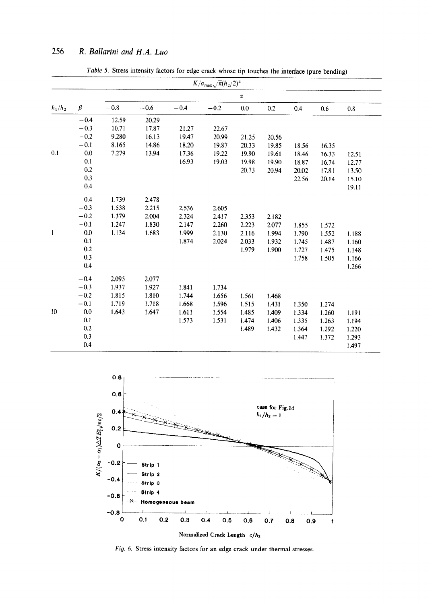|           |         |        |        |        | $K/\sigma_{\max} \sqrt{\pi} (h_2/2)^{\lambda}$ |           |       |       |       |         |
|-----------|---------|--------|--------|--------|------------------------------------------------|-----------|-------|-------|-------|---------|
|           |         |        |        |        |                                                | $\propto$ |       |       |       |         |
| $h_1/h_2$ | $\beta$ | $-0.8$ | $-0.6$ | $-0.4$ | $-0.2$                                         | 0.0       | 0.2   | 0.4   | 0.6   | $0.8\,$ |
|           | $-0.4$  | 12.59  | 20.29  |        |                                                |           |       |       |       |         |
|           | $-0.3$  | 10.71  | 17.87  | 21.27  | 22.67                                          |           |       |       |       |         |
|           | $-0.2$  | 9.280  | 16.13  | 19.47  | 20.99                                          | 21.25     | 20.56 |       |       |         |
|           | $-0.1$  | 8.165  | 14.86  | 18.20  | 19.87                                          | 20.33     | 19.85 | 18.56 | 16.35 |         |
| 0.1       | 0.0     | 7.279  | 13.94  | 17.36  | 19.22                                          | 19.90     | 19.61 | 18.46 | 16.33 | 12.51   |
|           | 0.1     |        |        | 16.93  | 19.03                                          | 19.98     | 19.90 | 18.87 | 16.74 | 12.77   |
|           | 0.2     |        |        |        |                                                | 20.73     | 20.94 | 20.02 | 17.81 | 13.50   |
|           | 0.3     |        |        |        |                                                |           |       | 22.56 | 20.14 | 15.10   |
|           | 0.4     |        |        |        |                                                |           |       |       |       | 19.11   |
|           | $-0.4$  | 1.739  | 2.478  |        |                                                |           |       |       |       |         |
|           | $-0.3$  | 1.538  | 2.215  | 2.536  | 2.605                                          |           |       |       |       |         |
|           | $-0.2$  | 1.379  | 2.004  | 2.324  | 2.417                                          | 2.353     | 2.182 |       |       |         |
|           | $-0.1$  | 1.247  | 1.830  | 2.147  | 2.260                                          | 2.223     | 2.077 | 1.855 | 1.572 |         |
| 1         | 0.0     | 1.134  | 1.683  | 1.999  | 2.130                                          | 2.116     | 1.994 | 1.790 | 1.552 | 1.188   |
|           | 0.1     |        |        | 1.874  | 2.024                                          | 2.033     | 1.932 | 1.745 | 1.487 | 1.160   |
|           | 0.2     |        |        |        |                                                | 1.979     | 1.900 | 1.727 | 1.475 | 1.148   |
|           | 0.3     |        |        |        |                                                |           |       | 1.758 | 1.505 | 1.166   |
|           | 0.4     |        |        |        |                                                |           |       |       |       | 1.266   |
|           | $-0.4$  | 2.095  | 2.077  |        |                                                |           |       |       |       |         |
|           | $-0.3$  | 1.937  | 1.927  | 1.841  | 1.734                                          |           |       |       |       |         |
|           | $-0.2$  | 1.815  | 1.810  | 1.744  | 1.656                                          | 1.561     | 1.468 |       |       |         |
|           | $-0.1$  | 1.719  | 1.718  | 1.668  | 1.596                                          | 1.515     | 1.431 | 1.350 | 1.274 |         |
| 10        | 0.0     | 1.643  | 1.647  | 1.611  | 1.554                                          | 1.485     | 1.409 | 1.334 | 1.260 | 1.191   |
|           | 0.1     |        |        | 1.573  | 1.531                                          | 1.474     | 1.406 | 1.335 | 1.263 | 1.194   |
|           | 0.2     |        |        |        |                                                | 1.489     | 1.432 | 1.364 | 1.292 | 1.220   |
|           | 0.3     |        |        |        |                                                |           |       | 1.447 | 1.372 | 1.293   |
|           | 0.4     |        |        |        |                                                |           |       |       |       | 1.497   |

*Table 5.* Stress intensity factors for edge crack whose tip touches the interface (pure bending)



*Fig. 6.* Stress intensity factors for an edge crack under thermal stresses.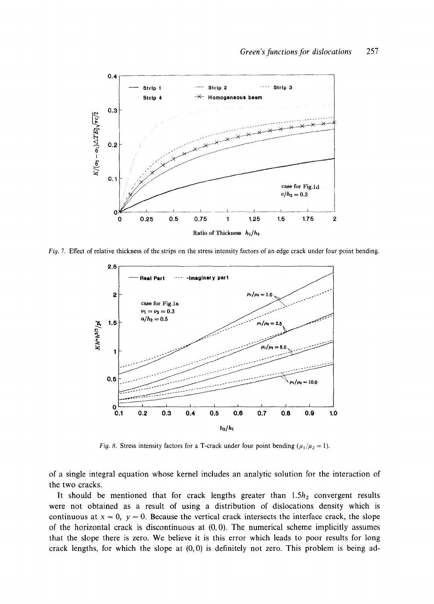

*Fig. 7.* Effect of relative thickness of the strips on the stress intensity factors of an edge crack under four point bending.



*Fig. 8.* Stress intensity factors for a T-crack under four point bending ( $\mu_1/\mu_2 = 1$ ).

of a single integral equation whose kernel includes an analytic solution for the interaction of the two cracks.

It should be mentioned that for crack lengths greater than  $1.5h<sub>2</sub>$  convergent results were not obtained as a result of using a distribution of dislocations density which is continuous at  $x = 0$ ,  $y = 0$ . Because the vertical crack intersects the interface crack, the slope of the horizontal crack is discontinuous at  $(0, 0)$ . The numerical scheme implicitly assumes that the slope there is zero. We believe it is this error which leads to poor results for long crack lengths, for which the slope at  $(0,0)$  is definitely not zero. This problem is being ad-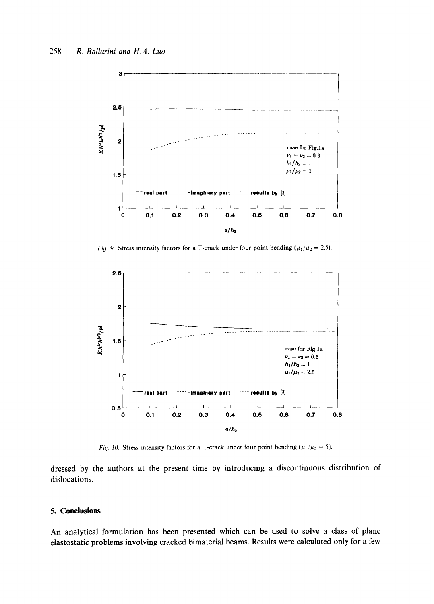

*Fig. 9.* Stress intensity factors for a T-crack under four point bending ( $\mu_1/\mu_2 = 2.5$ ).



*Fig. 10.* Stress intensity factors for a T-crack under four point bending  $(\mu_1/\mu_2 = 5)$ .

dressed by the authors at the present time by introducing a discontinuous distribution of dislocations.

## **5. Conclusions**

An analytical formulation has been presented which can be used to solve a class of plane elastostatic problems involving cracked bimaterial beams. Results were calculated only for a few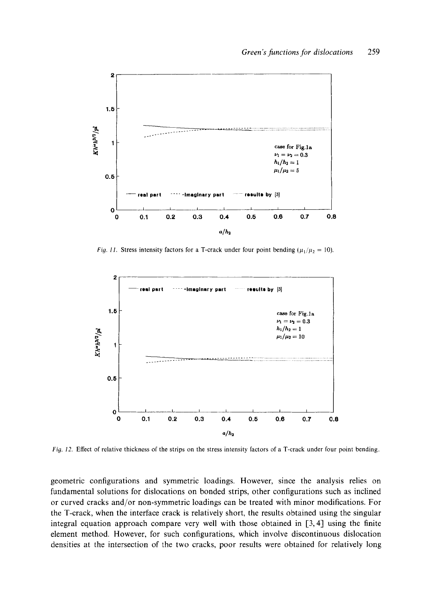

*Fig. 11.* Stress intensity factors for a T-crack under four point bending ( $\mu_1/\mu_2 = 10$ ).



*Fig. 12.* Effect of relative thickness of the strips on the stress intensity factors of a T-crack under four point bending.

geometric configurations and symmetric loadings. However, since the analysis relies on fundamental solutions for dislocations on bonded strips, other configurations such as inclined or curved cracks and/or non-symmetric loadings can be treated with minor modifications. For the T-crack, when the interface crack is relatively short, the results obtained using the singular integral equation approach compare very well with those obtained in [3, 4] using the finite element method. However, for such configurations, which involve discontinuous dislocation densities at the intersection of the two cracks, poor results were obtained for relatively long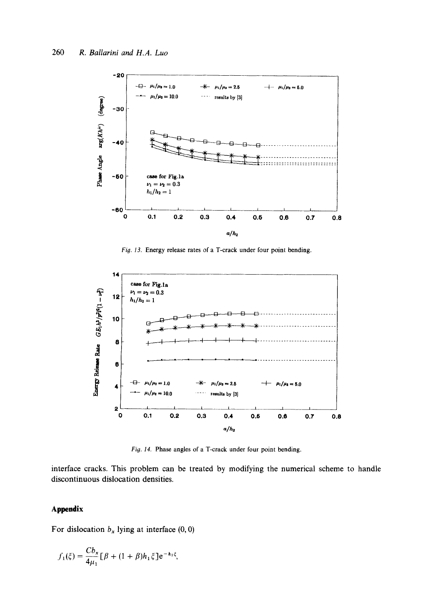

*Fig. 13.* Energy release rates of a T-crack under four point bending.



*Fig. 14.* Phase angles of a T-crack under four point bending.

interface cracks. This problem can be treated by modifying the numerical scheme to handle discontinuous dislocation densities.

# **Appendix**

For dislocation  $b_x$  lying at interface  $(0, 0)$ 

$$
f_1(\xi) = \frac{Cb_x}{4\mu_1} [\beta + (1+\beta)h_1\xi] e^{-h_1\xi},
$$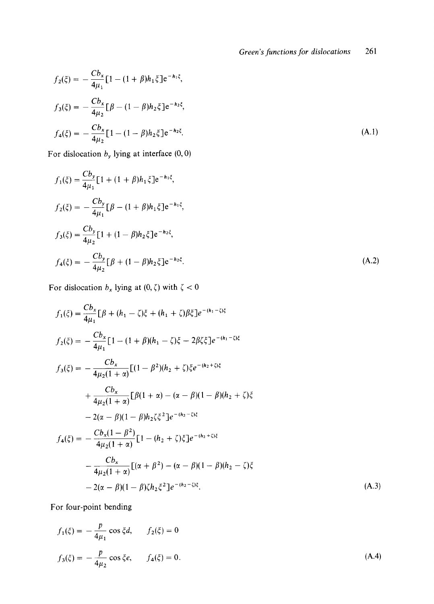$$
f_2(\xi) = -\frac{Cb_x}{4\mu_1} [1 - (1 + \beta)h_1 \xi] e^{-h_1 \xi},
$$
  
\n
$$
f_3(\xi) = -\frac{Cb_x}{4\mu_2} [\beta - (1 - \beta)h_2 \xi] e^{-h_2 \xi},
$$
  
\n
$$
f_4(\xi) = -\frac{Cb_x}{4\mu_2} [1 - (1 - \beta)h_2 \xi] e^{-h_2 \xi}.
$$
\n(A.1)

For dislocation  $b_y$  lying at interface  $(0, 0)$ 

$$
f_1(\xi) = \frac{Cb_y}{4\mu_1} [1 + (1 + \beta)h_1\xi] e^{-h_1\xi},
$$
  
\n
$$
f_2(\xi) = -\frac{Cb_y}{4\mu_1} [\beta - (1 + \beta)h_1\xi] e^{-h_1\xi},
$$
  
\n
$$
f_3(\xi) = \frac{Cb_y}{4\mu_2} [1 + (1 - \beta)h_2\xi] e^{-h_2\xi},
$$
  
\n
$$
f_4(\xi) = -\frac{Cb_y}{4\mu_2} [\beta + (1 - \beta)h_2\xi] e^{-h_2\xi}.
$$
\n(A.2)

For dislocation  $b_x$  lying at  $(0, \zeta)$  with  $\zeta < 0$ 

$$
f_1(\xi) = \frac{Cb_x}{4\mu_1} [\beta + (h_1 - \zeta)\xi + (h_1 + \zeta)\beta\xi] e^{-(h_1 - \zeta)\xi}
$$
  
\n
$$
f_2(\xi) = -\frac{Cb_x}{4\mu_1} [1 - (1 + \beta)(h_1 - \zeta)\xi - 2\beta\xi\xi] e^{-(h_1 - \zeta)\xi}
$$
  
\n
$$
f_3(\xi) = -\frac{Cb_x}{4\mu_2(1 + \alpha)} [1 - \beta^2)(h_2 + \zeta)\xi e^{-(h_2 + \zeta)\xi}
$$
  
\n
$$
+ \frac{Cb_x}{4\mu_2(1 + \alpha)} [\beta(1 + \alpha) - (\alpha - \beta)(1 - \beta)(h_2 + \zeta)\xi
$$
  
\n
$$
- 2(\alpha - \beta)(1 - \beta)h_2\zeta\xi^2] e^{-(h_2 - \zeta)\xi}
$$
  
\n
$$
f_4(\xi) = -\frac{Cb_x(1 - \beta^2)}{4\mu_2(1 + \alpha)} [1 - (h_2 + \zeta)\xi] e^{-(h_2 + \zeta)\xi}
$$
  
\n
$$
- \frac{Cb_x}{4\mu_2(1 + \alpha)} [(\alpha + \beta^2) - (\alpha - \beta)(1 - \beta)(h_2 - \zeta)\xi
$$
  
\n
$$
- 2(\alpha - \beta)(1 - \beta)\zeta h_2\xi^2] e^{-(h_2 - \zeta)\xi}.
$$
\n(A.3)

For four-point bending

$$
f_1(\xi) = -\frac{p}{4\mu_1} \cos \xi d, \qquad f_2(\xi) = 0
$$
  

$$
f_3(\xi) = -\frac{p}{4\mu_2} \cos \xi e, \qquad f_4(\xi) = 0.
$$
 (A.4)